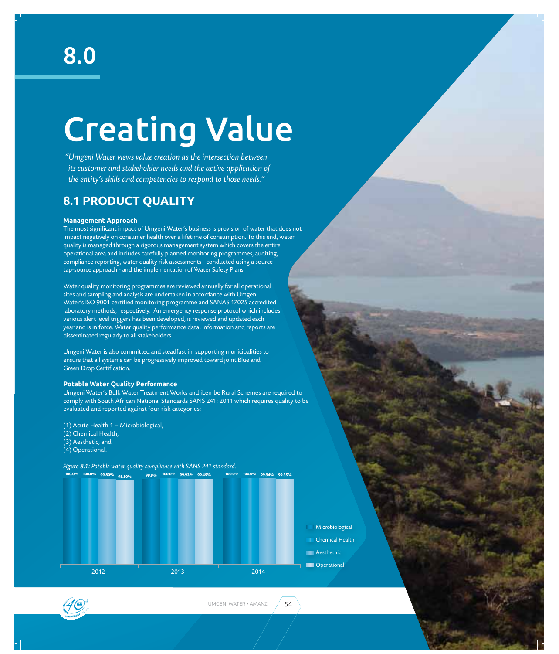# Creating Value

*"Umgeni Water views value creation as the intersection between its customer and stakeholder needs and the active application of the entity's skills and competencies to respond to those needs."*

# **8.1 PRODUCT QUALITY**

#### **Management Approach**

The most significant impact of Umgeni Water's business is provision of water that does not impact negatively on consumer health over a lifetime of consumption. To this end, water quality is managed through a rigorous management system which covers the entire operational area and includes carefully planned monitoring programmes, auditing, compliance reporting, water quality risk assessments - conducted using a sourcetap-source approach - and the implementation of Water Safety Plans.

Water quality monitoring programmes are reviewed annually for all operational sites and sampling and analysis are undertaken in accordance with Umgeni Water's ISO 9001 certified monitoring programme and SANAS 17025 accredited laboratory methods, respectively. An emergency response protocol which includes various alert level triggers has been developed, is reviewed and updated each year and is in force. Water quality performance data, information and reports are disseminated regularly to all stakeholders.

Umgeni Water is also committed and steadfast in supporting municipalities to ensure that all systems can be progressively improved toward joint Blue and Green Drop Certification.

#### **Potable Water Quality Performance**

Umgeni Water's Bulk Water Treatment Works and iLembe Rural Schemes are required to comply with South African National Standards SANS 241: 2011 which requires quality to be evaluated and reported against four risk categories:

(1) Acute Health 1 – Microbiological,

- (2) Chemical Health,
- (3) Aesthetic, and
- (4) Operational.

*Figure 8.1: Potable water quality compliance with SANS 241 standard.*



- Microbiological Chemical Health
- **Aesthethic**
- **Operational**

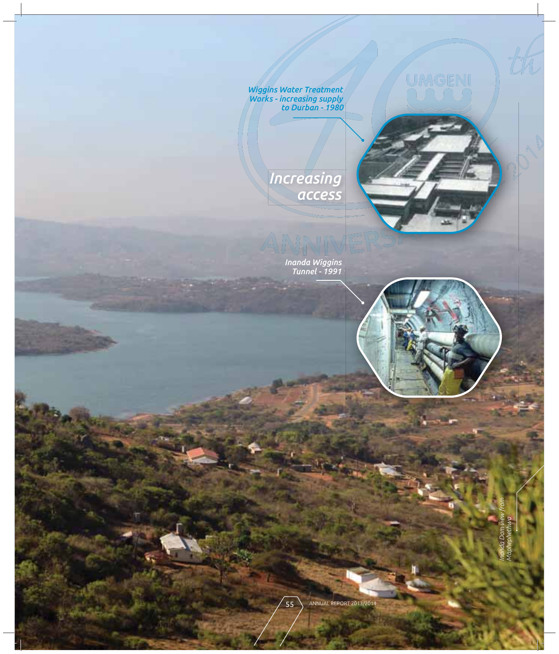*Wiggins Water Treatment Works - increasing supply to Durban - 1980*

> *Increasing access*

> > *Inanda Wiggins Tunnel - 1991*



UMGENI

*Inanda Dam view from Maphephethwa*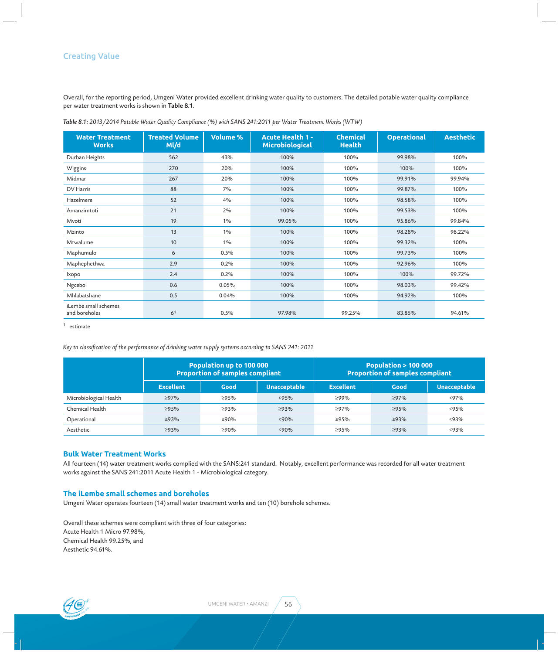Overall, for the reporting period, Umgeni Water provided excellent drinking water quality to customers. The detailed potable water quality compliance per water treatment works is shown in Table 8.1.

| <b>Water Treatment</b><br><b>Works</b> | <b>Treated Volume</b><br>Ml/d | <b>Volume %</b> | <b>Acute Health 1 -</b><br><b>Microbiological</b> | <b>Chemical</b><br><b>Health</b> | <b>Operational</b> | <b>Aesthetic</b> |
|----------------------------------------|-------------------------------|-----------------|---------------------------------------------------|----------------------------------|--------------------|------------------|
| Durban Heights                         | 562                           | 43%             | 100%                                              | 100%                             | 99.98%             | 100%             |
| Wiggins                                | 270                           | 20%             | 100%                                              | 100%                             | 100%               | 100%             |
| Midmar                                 | 267                           | 20%             | 100%                                              | 100%                             | 99.91%             | 99.94%           |
| DV Harris                              | 88                            | 7%              | 100%                                              | 100%                             | 99.87%             | 100%             |
| Hazelmere                              | 52                            | 4%              | 100%                                              | 100%                             | 98.58%             | 100%             |
| Amanzimtoti                            | 21                            | 2%              | 100%                                              | 100%                             | 99.53%             | 100%             |
| Mvoti                                  | 19                            | $1\%$           | 99.05%                                            | 100%                             | 95.86%             | 99.84%           |
| Mzinto                                 | 13                            | $1\%$           | 100%                                              | 100%                             | 98.28%             | 98.22%           |
| Mtwalume                               | 10                            | $1\%$           | 100%                                              | 100%                             | 99.32%             | 100%             |
| Maphumulo                              | 6                             | 0.5%            | 100%                                              | 100%                             | 99.73%             | 100%             |
| Maphephethwa                           | 2.9                           | 0.2%            | 100%                                              | 100%                             | 92.96%             | 100%             |
| Ixopo                                  | 2.4                           | 0.2%            | 100%                                              | 100%                             | 100%               | 99.72%           |
| Ngcebo                                 | 0.6                           | 0.05%           | 100%                                              | 100%                             | 98.03%             | 99.42%           |
| Mhlabatshane                           | 0.5                           | 0.04%           | 100%                                              | 100%                             | 94.92%             | 100%             |
| iLembe small schemes<br>and boreholes  | 6 <sup>1</sup>                | 0.5%            | 97.98%                                            | 99.25%                           | 83.85%             | 94.61%           |

*Table 8.1: 2013/2014 Potable Water Quality Compliance (%) with SANS 241:2011 per Water Treatment Works (WTW)*

 $1$  estimate

Key to classification of the performance of drinking water supply systems according to SANS 241: 2011

|                        |                  | Population up to 100 000<br><b>Proportion of samples compliant</b> |                     | <b>Population &gt; 100 000</b><br><b>Proportion of samples compliant</b> |             |                     |  |
|------------------------|------------------|--------------------------------------------------------------------|---------------------|--------------------------------------------------------------------------|-------------|---------------------|--|
|                        | <b>Excellent</b> | Good                                                               | <b>Unacceptable</b> | <b>Excellent</b>                                                         | Good        | <b>Unacceptable</b> |  |
| Microbiological Health | $\geq 97\%$      | $\geq 95\%$                                                        | < 95%               | $>99\%$                                                                  | $\geq 97\%$ | $< 97\%$            |  |
| Chemical Health        | $\geq 95\%$      | >93%                                                               | $\geq$ 93%          | $\geq 97\%$                                                              | $\geq 95\%$ | < 95%               |  |
| Operational            | $\geq$ 93%       | $\geq 90\%$                                                        | < 90%               | $\geq 95\%$                                                              | $\geq$ 93%  | < 93%               |  |
| Aesthetic              | $\geq 93\%$      | $\geq 90\%$                                                        | < 90%               | $\geq 95\%$                                                              | $\geq$ 93%  | < 93%               |  |

#### **Bulk Water Treatment Works**

All fourteen (14) water treatment works complied with the SANS:241 standard. Notably, excellent performance was recorded for all water treatment works against the SANS 241:2011 Acute Health 1 - Microbiological category.

#### **The iLembe small schemes and boreholes**

Umgeni Water operates fourteen (14) small water treatment works and ten (10) borehole schemes.

Overall these schemes were compliant with three of four categories: Acute Health 1 Micro 97.98%, Chemical Health 99.25%, and Aesthetic 94.61%.

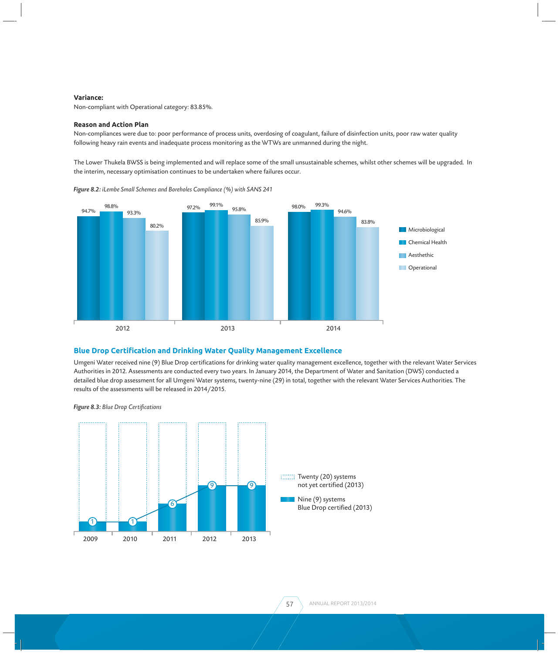#### **Variance:**

Non-compliant with Operational category: 83.85%.

#### **Reason and Action Plan**

Non-compliances were due to: poor performance of process units, overdosing of coagulant, failure of disinfection units, poor raw water quality following heavy rain events and inadequate process monitoring as the WTWs are unmanned during the night.

The Lower Thukela BWSS is being implemented and will replace some of the small unsustainable schemes, whilst other schemes will be upgraded. In the interim, necessary optimisation continues to be undertaken where failures occur.



*Figure 8.2: iLembe Small Schemes and Boreholes Compliance (%) with SANS 241*

#### **Blue Drop Certification and Drinking Water Quality Management Excellence**

Umgeni Water received nine (9) Blue Drop certifications for drinking water quality management excellence, together with the relevant Water Services Authorities in 2012. Assessments are conducted every two years. In January 2014, the Department of Water and Sanitation (DWS) conducted a detailed blue drop assessment for all Umgeni Water systems, twenty-nine (29) in total, together with the relevant Water Services Authorities. The results of the assessments will be released in 2014/2015.

**Figure 8.3:** Blue Drop Certifications

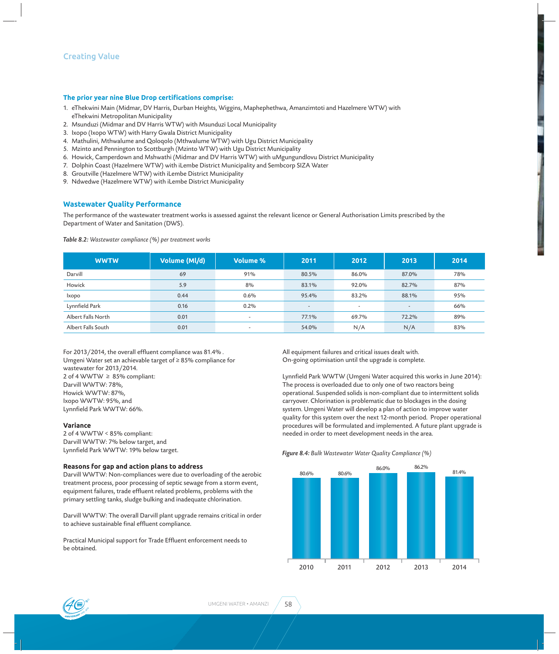#### **The prior year nine Blue Drop certifications comprise:**

- 1. eThekwini Main (Midmar, DV Harris, Durban Heights, Wiggins, Maphephethwa, Amanzimtoti and Hazelmere WTW) with eThekwini Metropolitan Municipality
- 2. Msunduzi (Midmar and DV Harris WTW) with Msunduzi Local Municipality
- 3. Ixopo (Ixopo WTW) with Harry Gwala District Municipality
- 4. Mathulini, Mthwalume and Qoloqolo (Mthwalume WTW) with Ugu District Municipality
- 5. Mzinto and Pennington to Scottburgh (Mzinto WTW) with Ugu District Municipality
- 6. Howick, Camperdown and Mshwathi (Midmar and DV Harris WTW) with uMgungundlovu District Municipality
- 7. Dolphin Coast (Hazelmere WTW) with iLembe District Municipality and Sembcorp SIZA Water
- 8. Groutville (Hazelmere WTW) with iLembe District Municipality
- 9. Ndwedwe (Hazelmere WTW) with iLembe District Municipality

#### **Wastewater Quality Performance**

The performance of the wastewater treatment works is assessed against the relevant licence or General Authorisation Limits prescribed by the Department of Water and Sanitation (DWS).

#### *Table 8.2: Wastewater compliance (%) per treatment works*

| <b>WWTW</b>                                            | Volume (Ml/d) | <b>Volume %</b>          | 2011   | 2012                     | 2013                     | 2014 |
|--------------------------------------------------------|---------------|--------------------------|--------|--------------------------|--------------------------|------|
| Darvill                                                | 69            | 91%                      | 80.5%  | 86.0%                    | 87.0%                    | 78%  |
| Howick                                                 | 5.9           | 8%                       | 83.1%  | 92.0%                    | 82.7%                    | 87%  |
| <b>Ixopo</b>                                           | 0.44          | 0.6%                     | 95.4%  | 83.2%                    | 88.1%                    | 95%  |
| Lynnfield Park                                         | 0.16          | 0.2%                     | $\sim$ | $\overline{\phantom{a}}$ | $\overline{\phantom{0}}$ | 66%  |
| Albert Falls North                                     | 0.01          | $\overline{\phantom{0}}$ | 77.1%  | 69.7%                    | 72.2%                    | 89%  |
| Albert Falls South<br>0.01<br>$\overline{\phantom{a}}$ |               | 54.0%                    | N/A    | N/A                      | 83%                      |      |

For 2013/2014, the overall effluent compliance was 81.4%. Umgeni Water set an achievable target of ≥ 85% compliance for wastewater for 2013/2014. 2 of 4 WWTW  $\geq$  85% compliant: Darvill WWTW: 78%, Howick WWTW: 87%, Ixopo WWTW: 95%, and Lynnfield Park WWTW: 66%.

#### **Variance**

2 of 4 WWTW < 85% compliant: Darvill WWTW: 7% below target, and Lynnfield Park WWTW: 19% below target.

#### **Reasons for gap and action plans to address**

Darvill WWTW: Non-compliances were due to overloading of the aerobic treatment process, poor processing of septic sewage from a storm event, equipment failures, trade effluent related problems, problems with the primary settling tanks, sludge bulking and inadequate chlorination.

Darvill WWTW: The overall Darvill plant upgrade remains critical in order to achieve sustainable final effluent compliance.

Practical Municipal support for Trade Effluent enforcement needs to be obtained.

All equipment failures and critical issues dealt with. On-going optimisation until the upgrade is complete.

Lynnfield Park WWTW (Umgeni Water acquired this works in June 2014): The process is overloaded due to only one of two reactors being operational. Suspended solids is non-compliant due to intermittent solids carryover. Chlorination is problematic due to blockages in the dosing system. Umgeni Water will develop a plan of action to improve water quality for this system over the next 12-month period. Proper operational procedures will be formulated and implemented. A future plant upgrade is needed in order to meet development needs in the area.

#### *Figure 8.4: Bulk Wastewater Water Quality Compliance (%)*



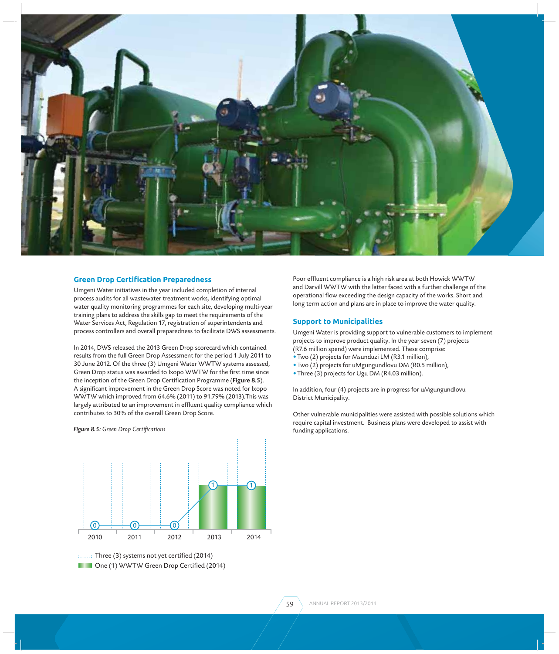

#### **Green Drop CertiƬ cation Preparedness**

Umgeni Water initiatives in the year included completion of internal process audits for all wastewater treatment works, identifying optimal water quality monitoring programmes for each site, developing multi-year training plans to address the skills gap to meet the requirements of the Water Services Act, Regulation 17, registration of superintendents and process controllers and overall preparedness to facilitate DWS assessments.

In 2014, DWS released the 2013 Green Drop scorecard which contained results from the full Green Drop Assessment for the period 1 July 2011 to 30 June 2012. Of the three (3) Umgeni Water WWTW systems assessed, Green Drop status was awarded to Ixopo WWTW for the first time since the inception of the Green Drop Certification Programme (Figure 8.5). A significant improvement in the Green Drop Score was noted for Ixopo WWTW which improved from 64.6% (2011) to 91.79% (2013).This was largely attributed to an improvement in effluent quality compliance which contributes to 30% of the overall Green Drop Score.



#### **Figure 8.5:** Green Drop Certifications

**DE CONE (1) WWTW Green Drop Certified (2014)** 

Poor effluent compliance is a high risk area at both Howick WWTW and Darvill WWTW with the latter faced with a further challenge of the operational flow exceeding the design capacity of the works. Short and long term action and plans are in place to improve the water quality.

#### **Support to Municipalities**

Umgeni Water is providing support to vulnerable customers to implement projects to improve product quality. In the year seven (7) projects (R7.6 million spend) were implemented. These comprise:

- Two (2) projects for Msunduzi LM (R3.1 million),
- Two (2) projects for uMgungundlovu DM (R0.5 million),
- Three (3) projects for Ugu DM (R4.03 million).

In addition, four (4) projects are in progress for uMgungundlovu District Municipality.

Other vulnerable municipalities were assisted with possible solutions which require capital investment. Business plans were developed to assist with funding applications.

 $T$ Three (3) systems not yet certified (2014)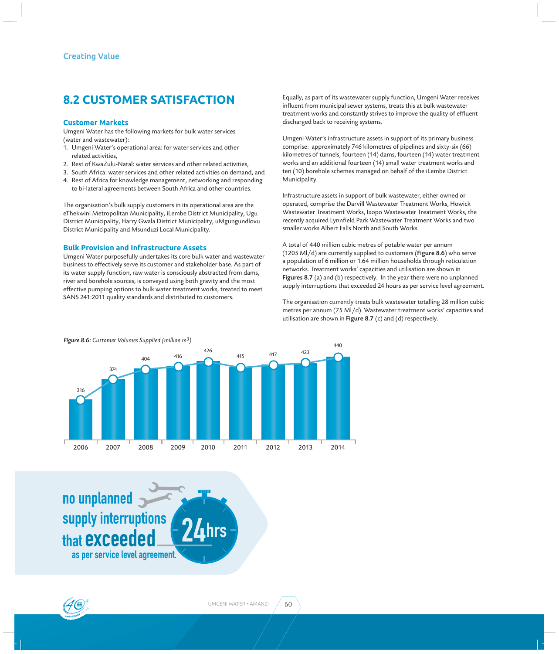## **8.2 CUSTOMER SATISFACTION**

#### **Customer Markets**

Umgeni Water has the following markets for bulk water services (water and wastewater):

- 1. Umgeni Water's operational area: for water services and other related activities,
- 2. Rest of KwaZulu-Natal: water services and other related activities,
- 3. South Africa: water services and other related activities on demand, and
- 4. Rest of Africa for knowledge management, networking and responding to bi-lateral agreements between South Africa and other countries.

The organisation's bulk supply customers in its operational area are the eThekwini Metropolitan Municipality, iLembe District Municipality, Ugu District Municipality, Harry Gwala District Municipality, uMgungundlovu District Municipality and Msunduzi Local Municipality.

#### **Bulk Provision and Infrastructure Assets**

Umgeni Water purposefully undertakes its core bulk water and wastewater business to effectively serve its customer and stakeholder base. As part of its water supply function, raw water is consciously abstracted from dams, river and borehole sources, is conveyed using both gravity and the most effective pumping options to bulk water treatment works, treated to meet SANS 241:2011 quality standards and distributed to customers.

Equally, as part of its wastewater supply function, Umgeni Water receives influent from municipal sewer systems, treats this at bulk wastewater treatment works and constantly strives to improve the quality of effluent discharged back to receiving systems.

Umgeni Water's infrastructure assets in support of its primary business comprise: approximately 746 kilometres of pipelines and sixty-six (66) kilometres of tunnels, fourteen (14) dams, fourteen (14) water treatment works and an additional fourteen (14) small water treatment works and ten (10) borehole schemes managed on behalf of the iLembe District Municipality.

Infrastructure assets in support of bulk wastewater, either owned or operated, comprise the Darvill Wastewater Treatment Works, Howick Wastewater Treatment Works, Ixopo Wastewater Treatment Works, the recently acquired Lynnfield Park Wastewater Treatment Works and two smaller works Albert Falls North and South Works.

A total of 440 million cubic metres of potable water per annum (1205 Ml/d) are currently supplied to customers (Figure 8.6) who serve a population of 6 million or 1.64 million households through reticulation networks. Treatment works' capacities and utilisation are shown in Figures 8.7 (a) and (b) respectively. In the year there were no unplanned supply interruptions that exceeded 24 hours as per service level agreement.

The organisation currently treats bulk wastewater totalling 28 million cubic metres per annum (75 Ml/d). Wastewater treatment works' capacities and utilisation are shown in Figure 8.7 (c) and (d) respectively.



**24hrs** as per service level agreement. no unplanned supply interruptions that exceeded

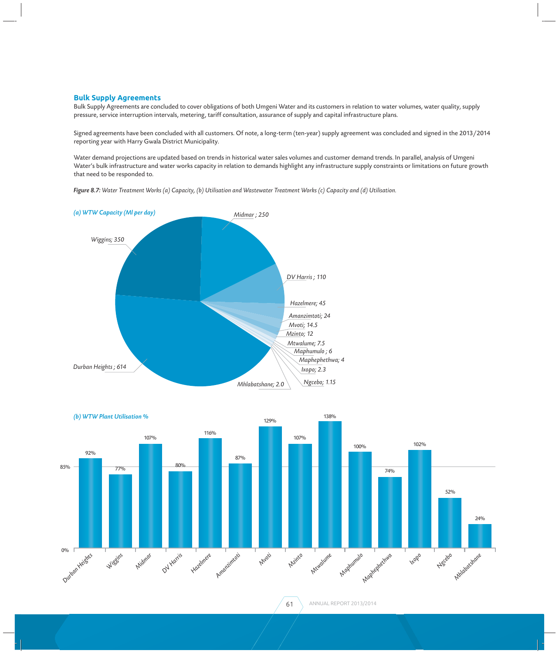#### **Bulk Supply Agreements**

Bulk Supply Agreements are concluded to cover obligations of both Umgeni Water and its customers in relation to water volumes, water quality, supply pressure, service interruption intervals, metering, tariff consultation, assurance of supply and capital infrastructure plans.

Signed agreements have been concluded with all customers. Of note, a long-term (ten-year) supply agreement was concluded and signed in the 2013/2014 reporting year with Harry Gwala District Municipality.

Water demand projections are updated based on trends in historical water sales volumes and customer demand trends. In parallel, analysis of Umgeni Water's bulk infrastructure and water works capacity in relation to demands highlight any infrastructure supply constraints or limitations on future growth that need to be responded to.

*Figure 8.7: Water Treatment Works (a) Capacity, (b) Utilisation and Wastewater Treatment Works (c) Capacity and (d) Utilisation.*





61 ANNUAL REPORT 2013/2014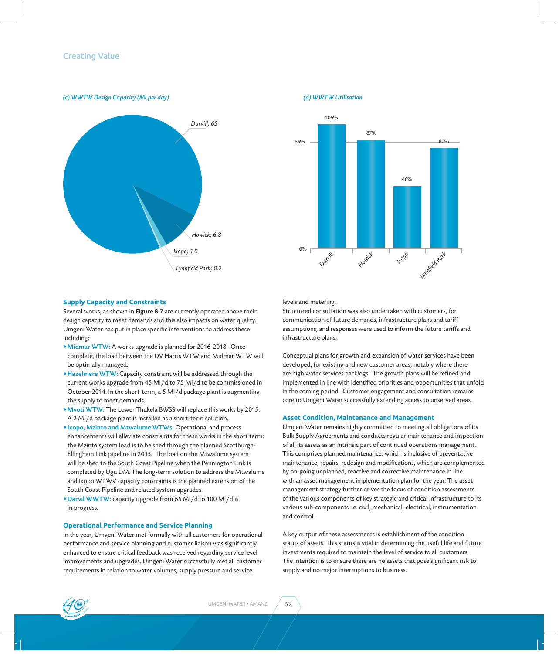*(c) WWTW Design Capacity (Ml per day) (d) WWTW Utilisation*





#### **Supply Capacity and Constraints**

Several works, as shown in Figure 8.7 are currently operated above their design capacity to meet demands and this also impacts on water quality. Umgeni Water has put in place specific interventions to address these including:

- •Midmar WTW: A works upgrade is planned for 2016-2018. Once complete, the load between the DV Harris WTW and Midmar WTW will be optimally managed.
- Hazelmere WTW: Capacity constraint will be addressed through the current works upgrade from 45 Ml/d to 75 Ml/d to be commissioned in October 2014. In the short-term, a 5 Ml/d package plant is augmenting the supply to meet demands.
- •Mvoti WTW: The Lower Thukela BWSS will replace this works by 2015. A 2 Ml/d package plant is installed as a short-term solution.
- •Ixopo, Mzinto and Mtwalume WTWs: Operational and process enhancements will alleviate constraints for these works in the short term: the Mzinto system load is to be shed through the planned Scottburgh-Ellingham Link pipeline in 2015. The load on the Mtwalume system will be shed to the South Coast Pipeline when the Pennington Link is completed by Ugu DM. The long-term solution to address the Mtwalume and Ixopo WTWs' capacity constraints is the planned extension of the South Coast Pipeline and related system upgrades.
- •Darvil WWTW: capacity upgrade from 65 Ml/d to 100 Ml/d is in progress.

#### **Operational Performance and Service Planning**

In the year, Umgeni Water met formally with all customers for operational performance and service planning and customer liaison was significantly enhanced to ensure critical feedback was received regarding service level improvements and upgrades. Umgeni Water successfully met all customer requirements in relation to water volumes, supply pressure and service

levels and metering.

Structured consultation was also undertaken with customers, for communication of future demands, infrastructure plans and tariff assumptions, and responses were used to inform the future tariffs and infrastructure plans.

Conceptual plans for growth and expansion of water services have been developed, for existing and new customer areas, notably where there are high water services backlogs. The growth plans will be refined and implemented in line with identified priorities and opportunities that unfold in the coming period. Customer engagement and consultation remains core to Umgeni Water successfully extending access to unserved areas.

#### **Asset Condition, Maintenance and Management**

Umgeni Water remains highly committed to meeting all obligations of its Bulk Supply Agreements and conducts regular maintenance and inspection of all its assets as an intrinsic part of continued operations management. This comprises planned maintenance, which is inclusive of preventative maintenance, repairs, redesign and modifications, which are complemented by on-going unplanned, reactive and corrective maintenance in line with an asset management implementation plan for the year. The asset management strategy further drives the focus of condition assessments of the various components of key strategic and critical infrastructure to its various sub-components i.e. civil, mechanical, electrical, instrumentation and control.

A key output of these assessments is establishment of the condition status of assets. This status is vital in determining the useful life and future investments required to maintain the level of service to all customers. The intention is to ensure there are no assets that pose significant risk to supply and no major interruptions to business.

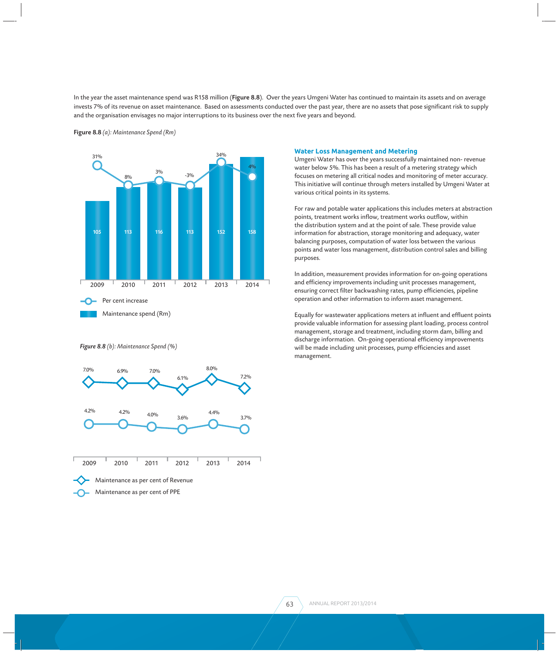In the year the asset maintenance spend was R158 million (Figure 8.8). Over the years Umgeni Water has continued to maintain its assets and on average invests 7% of its revenue on asset maintenance. Based on assessments conducted over the past year, there are no assets that pose significant risk to supply and the organisation envisages no major interruptions to its business over the next five years and beyond.





*Figure 8.8 (b): Maintenance Spend (%)*



#### **Water Loss Management and Metering**

Umgeni Water has over the years successfully maintained non- revenue water below 5%. This has been a result of a metering strategy which focuses on metering all critical nodes and monitoring of meter accuracy. This initiative will continue through meters installed by Umgeni Water at various critical points in its systems.

For raw and potable water applications this includes meters at abstraction points, treatment works inflow, treatment works outflow, within the distribution system and at the point of sale. These provide value information for abstraction, storage monitoring and adequacy, water balancing purposes, computation of water loss between the various points and water loss management, distribution control sales and billing purposes.

In addition, measurement provides information for on-going operations and efficiency improvements including unit processes management, ensuring correct filter backwashing rates, pump efficiencies, pipeline operation and other information to inform asset management.

Equally for wastewater applications meters at influent and effluent points provide valuable information for assessing plant loading, process control management, storage and treatment, including storm dam, billing and discharge information. On-going operational efficiency improvements will be made including unit processes, pump efficiencies and asset management.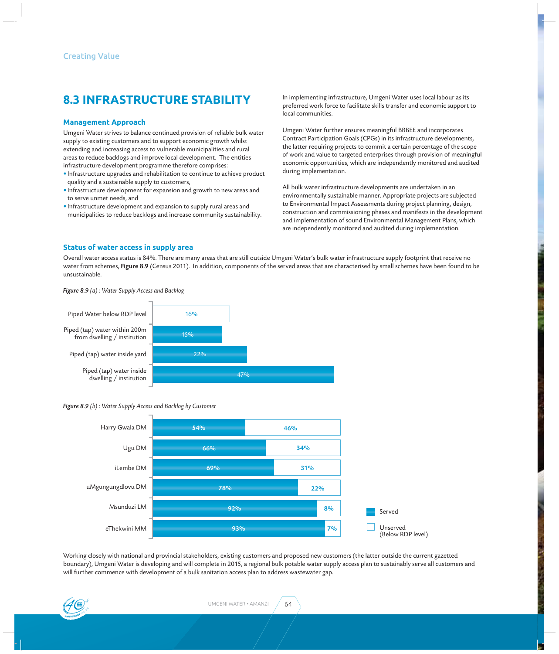# **8.3 INFRASTRUCTURE STABILITY**

#### **Management Approach**

Umgeni Water strives to balance continued provision of reliable bulk water supply to existing customers and to support economic growth whilst extending and increasing access to vulnerable municipalities and rural areas to reduce backlogs and improve local development. The entities infrastructure development programme therefore comprises:

- Infrastructure upgrades and rehabilitation to continue to achieve product quality and a sustainable supply to customers,
- Infrastructure development for expansion and growth to new areas and to serve unmet needs, and
- Infrastructure development and expansion to supply rural areas and municipalities to reduce backlogs and increase community sustainability.

In implementing infrastructure, Umgeni Water uses local labour as its preferred work force to facilitate skills transfer and economic support to local communities.

Umgeni Water further ensures meaningful BBBEE and incorporates Contract Participation Goals (CPGs) in its infrastructure developments, the latter requiring projects to commit a certain percentage of the scope of work and value to targeted enterprises through provision of meaningful economic opportunities, which are independently monitored and audited during implementation.

All bulk water infrastructure developments are undertaken in an environmentally sustainable manner. Appropriate projects are subjected to Environmental Impact Assessments during project planning, design, construction and commissioning phases and manifests in the development and implementation of sound Environmental Management Plans, which are independently monitored and audited during implementation.

#### **Status of water access in supply area**

Overall water access status is 84%. There are many areas that are still outside Umgeni Water's bulk water infrastructure supply footprint that receive no water from schemes, Figure 8.9 (Census 2011). In addition, components of the served areas that are characterised by small schemes have been found to be unsustainable.

*Figure 8.9 (a) : Water Supply Access and Backlog*



#### *Figure 8.9 (b) : Water Supply Access and Backlog by Customer*



Working closely with national and provincial stakeholders, existing customers and proposed new customers (the latter outside the current gazetted boundary), Umgeni Water is developing and will complete in 2015, a regional bulk potable water supply access plan to sustainably serve all customers and will further commence with development of a bulk sanitation access plan to address wastewater gap.

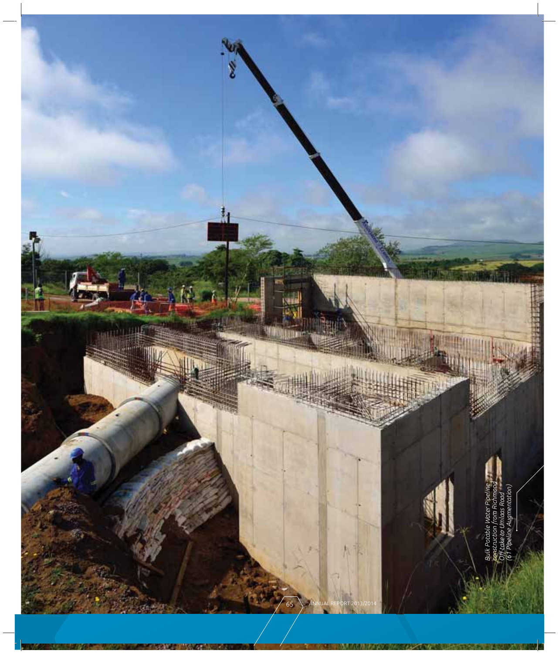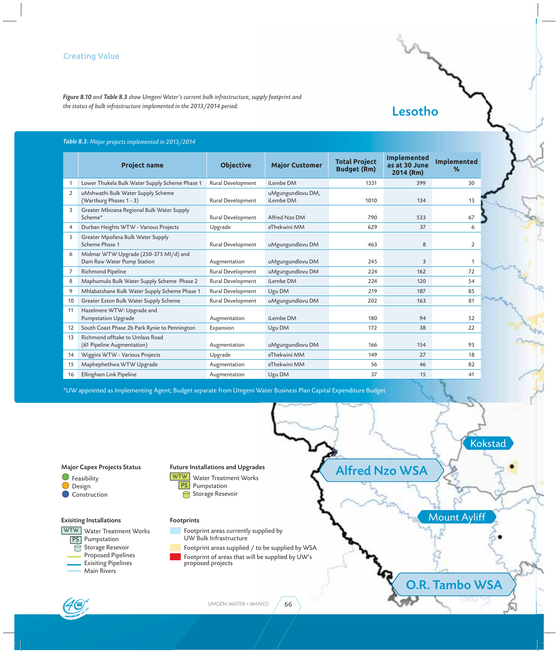*Figure 8.10 and Table 8.3 show Umgeni Water's current bulk infrastructure, supply footprint and the status of bulk infrastructure implemented in the 2013/2014 period.*

| <b>Table 8.3:</b> Major projects implemented in 2013/2014 $\,$ |  |
|----------------------------------------------------------------|--|
|----------------------------------------------------------------|--|

|                       | <b>Project name</b>                                                 | <b>Objective</b>  | <b>Major Customer</b>          | <b>Total Project</b><br><b>Budget (Rm)</b> | <b>Implemented</b><br>as at 30 June<br>2014 (Rm) | <b>Implemented</b><br>$\%$ |  |
|-----------------------|---------------------------------------------------------------------|-------------------|--------------------------------|--------------------------------------------|--------------------------------------------------|----------------------------|--|
| 1                     | Lower Thukela Bulk Water Supply Scheme Phase 1                      | Rural Development | iLembe DM                      | 1351                                       | 399                                              | 30                         |  |
| $\mathbf{2}^{\prime}$ | uMshwathi Bulk Water Supply Scheme<br>(Wartburg Phases 1 - 3)       | Rural Development | uMgungundlovu DM,<br>iLembe DM | 1010                                       | 134                                              | 13                         |  |
| 3                     | Greater Mbizana Regional Bulk Water Supply<br>Scheme*               | Rural Development | Alfred Nzo DM                  | 790                                        | 533                                              | 67                         |  |
| 4                     | Durban Heights WTW - Various Projects                               | Upgrade           | eThekwini MM                   | 629                                        | 37                                               | 6                          |  |
| 5                     | Greater Mpofana Bulk Water Supply<br>Scheme Phase 1                 | Rural Development | uMgungundlovu DM               | 463                                        | 8                                                | $\mathbf{2}^{\prime}$      |  |
| 6                     | Midmar WTW Upgrade (250-375 Ml/d) and<br>Dam Raw Water Pump Station | Augmentation      | uMgungundlovu DM               | 245                                        | 3                                                | 1                          |  |
| 7                     | Richmond Pipeline                                                   | Rural Development | uMgungundlovu DM               | 224                                        | 162                                              | 72                         |  |
| 8                     | Maphumulo Bulk Water Supply Scheme Phase 2                          | Rural Development | iLembe DM                      | 224                                        | 120                                              | 54                         |  |
| 9                     | Mhlabatshane Bulk Water Supply Scheme Phase 1                       | Rural Development | Ugu DM                         | 219                                        | 187                                              | 85                         |  |
| 10                    | Greater Eston Bulk Water Supply Scheme                              | Rural Development | uMgungundlovu DM               | 202                                        | 163                                              | 81                         |  |
| 11                    | Hazelmere WTW: Upgrade and<br><b>Pumpstation Upgrade</b>            | Augmentation      | iLembe DM                      | 180                                        | 94                                               | 52                         |  |
| $12 \overline{ }$     | South Coast Phase 2b Park Rynie to Pennington                       | Expansion         | Ugu DM                         | 172                                        | 38                                               | 22                         |  |
| 13                    | Richmond offtake to Umlass Road<br>(61 Pipeline Augmentation)       | Augmentation      | uMgungundlovu DM               | 166                                        | 154                                              | 93                         |  |
| 14                    | Wiggins WTW - Various Projects                                      | Upgrade           | eThekwini MM                   | 149                                        | 27                                               | 18                         |  |
| 15                    | Maphephethwa WTW Upgrade                                            | Augmentation      | eThekwini MM                   | 56                                         | 46                                               | 82                         |  |
| 16                    | Ellingham Link Pipeline                                             | Augmentation      | Ugu DM                         | 37                                         | 15                                               | 41                         |  |

\*UW appointed as Implementing Agent; Budget separate from Umgeni Water Business Plan Capital Expenditure Budget



#### Major Capex Projects Status

 $\bigcirc$  Feasibility  $\bigcirc$ Design Construction

#### Exisiting Installations

<u>WTW |</u> Water Treatment Works Proposed Pipelines Storage Resevoir Main Rivers **PS** Pumpstation Exisiting Pipelines

#### Future Installations and Upgrades

- WTW Water Treatment Works **PS** Pumpstation
	- Storage Resevoir
- 

#### Footprints

- Footprint areas currently supplied by UW Bulk Infrastructure
- Footprint areas supplied / to be supplied by WSA

Footprint of areas that will be supplied by UW's proposed projects

# Alfred Nzo WSA

Lesotho

O.R. Tambo WSA

Mount Ayliff

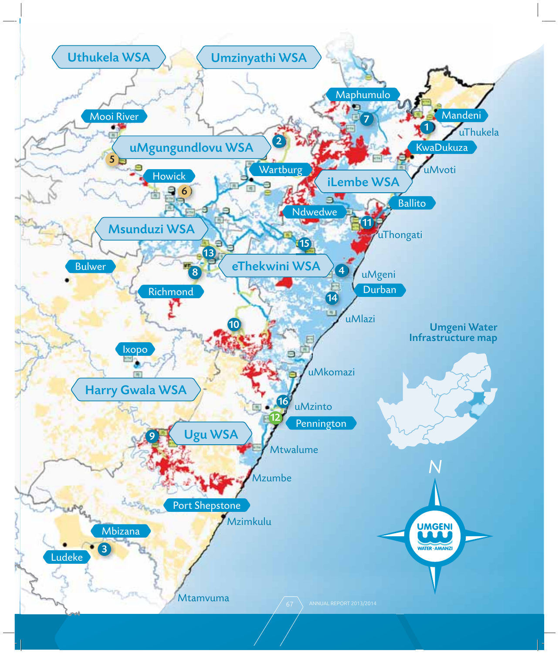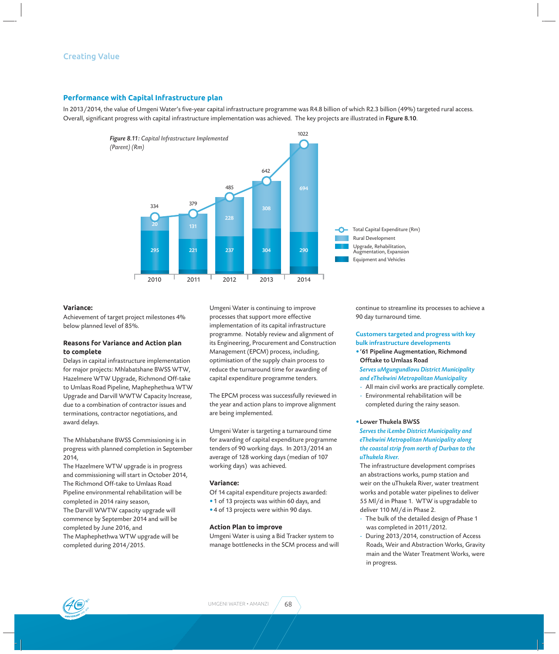### **Creating Value**

#### **Performance with Capital Infrastructure plan**

In 2013/2014, the value of Umgeni Water's five-year capital infrastructure programme was R4.8 billion of which R2.3 billion (49%) targeted rural access. Overall, significant progress with capital infrastructure implementation was achieved. The key projects are illustrated in Figure 8.10.



#### **Variance:**

Achievement of target project milestones 4% below planned level of 85%.

#### **Reasons for Variance and Action plan to complete**

Delays in capital infrastructure implementation for major projects: Mhlabatshane BWSS WTW, Hazelmere WTW Upgrade, Richmond Off-take to Umlaas Road Pipeline, Maphephethwa WTW Upgrade and Darvill WWTW Capacity Increase, due to a combination of contractor issues and terminations, contractor negotiations, and award delays.

The Mhlabatshane BWSS Commissioning is in progress with planned completion in September 2014,

The Hazelmere WTW upgrade is in progress and commissioning will start in October 2014, The Richmond Off-take to Umlaas Road Pipeline environmental rehabilitation will be completed in 2014 rainy season, The Darvill WWTW capacity upgrade will

commence by September 2014 and will be completed by June 2016, and The Maphephethwa WTW upgrade will be completed during 2014/2015.

Umgeni Water is continuing to improve processes that support more effective implementation of its capital infrastructure programme. Notably review and alignment of its Engineering, Procurement and Construction Management (EPCM) process, including, optimisation of the supply chain process to reduce the turnaround time for awarding of capital expenditure programme tenders.

The EPCM process was successfully reviewed in the year and action plans to improve alignment are being implemented.

Umgeni Water is targeting a turnaround time for awarding of capital expenditure programme tenders of 90 working days. In 2013/2014 an average of 128 working days (median of 107 working days) was achieved.

#### **Variance:**

- Of 14 capital expenditure projects awarded:
- 1 of 13 projects was within 60 days, and
- 4 of 13 projects were within 90 days.

#### **Action Plan to improve**

Umgeni Water is using a Bid Tracker system to manage bottlenecks in the SCM process and will continue to streamline its processes to achieve a 90 day turnaround time.

Customers targeted and progress with key bulk infrastructure developments

- •'61 Pipeline Augmentation, Richmond Offtake to Umlaas Road *Serves uMgungundlovu District Municipality and eThekwini Metropolitan Municipality*
- All main civil works are practically complete.
- Environmental rehabilitation will be completed during the rainy season.

#### •Lower Thukela BWSS

*Serves the iLembe District Municipality and eThekwini Metropolitan Municipality along the coastal strip from north of Durban to the uThukela River.*

The infrastructure development comprises an abstractions works, pump station and weir on the uThukela River, water treatment works and potable water pipelines to deliver 55 Ml/d in Phase 1. WTW is upgradable to deliver 110 Ml/d in Phase 2.

- The bulk of the detailed design of Phase 1 was completed in 2011/2012.
- During 2013/2014, construction of Access Roads, Weir and Abstraction Works, Gravity main and the Water Treatment Works, were in progress.

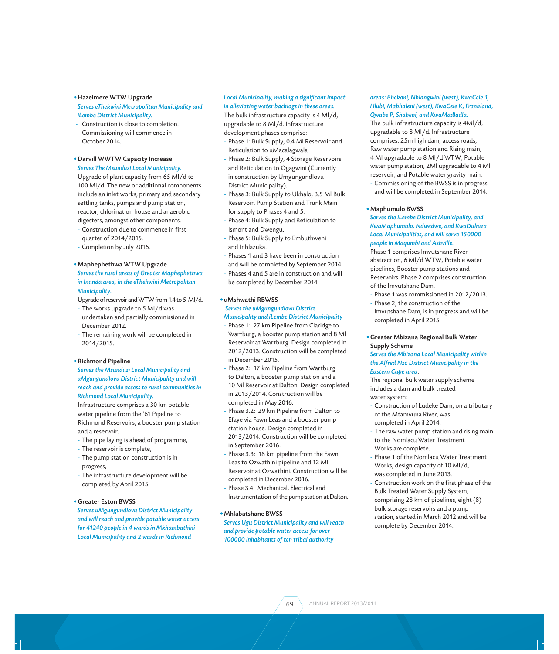#### •Hazelmere WTW Upgrade

*Serves eThekwini Metropolitan Municipality and iLembe District Municipality.*

- Construction is close to completion.
- Commissioning will commence in October 2014.

#### •Darvill WWTW Capacity Increase *Serves The Msunduzi Local Municipality.*

Upgrade of plant capacity from 65 Ml/d to 100 Ml/d. The new or additional components include an inlet works, primary and secondary settling tanks, pumps and pump station, reactor, chlorination house and anaerobic digesters, amongst other components.

- Construction due to commence in first quarter of 2014/2015.
- Completion by July 2016.

#### •Maphephethwa WTW Upgrade

#### *Serves the rural areas of Greater Maphephethwa in Inanda area, in the eThekwini Metropolitan Municipality.*

Upgrade of reservoir and WTW from 1.4 to 5 Ml/d.

- The works upgrade to 5 Ml/d was undertaken and partially commissioned in December 2012.
- The remaining work will be completed in 2014/2015.

#### •Richmond Pipeline

#### *Serves the Msunduzi Local Municipality and uMgungundlovu District Municipality and will reach and provide access to rural communities in Richmond Local Municipality.*

Infrastructure comprises a 30 km potable water pipeline from the '61 Pipeline to Richmond Reservoirs, a booster pump station and a reservoir.

- The pipe laying is ahead of programme,
- The reservoir is complete,
- The pump station construction is in progress,
- The infrastructure development will be completed by April 2015.

#### • Greater Eston BWSS

*Serves uMgungundlovu District Municipality and will reach and provide potable water access for 41240 people in 4 wards in Mkhambathini Local Municipality and 2 wards in Richmond* 

## Local Municipality, making a significant impact

*in alleviating water backlogs in these areas.* The bulk infrastructure capacity is 4 Ml/d, upgradable to 8 Ml/d. Infrastructure development phases comprise:

- Phase 1: Bulk Supply, 0.4 Ml Reservoir and Reticulation to uMacalagwala
- Phase 2: Bulk Supply, 4 Storage Reservoirs and Reticulation to Ogagwini (Currently in construction by Umgungundlovu District Municipality).
- Phase 3: Bulk Supply to Ukhalo, 3.5 Ml Bulk Reservoir, Pump Station and Trunk Main for supply to Phases 4 and 5.
- Phase 4: Bulk Supply and Reticulation to Ismont and Dwengu.
- Phase 5: Bulk Supply to Embuthweni and Inhlazuka.
- Phases 1 and 3 have been in construction and will be completed by September 2014.
- Phases 4 and 5 are in construction and will be completed by December 2014.

#### • uMshwathi RBWSS

#### *Serves the uMgungundlovu District Municipality and iLembe District Municipality*

- Phase 1: 27 km Pipeline from Claridge to Wartburg, a booster pump station and 8 Ml Reservoir at Wartburg. Design completed in 2012/2013. Construction will be completed in December 2015.
- Phase 2: 17 km Pipeline from Wartburg to Dalton, a booster pump station and a 10 Ml Reservoir at Dalton. Design completed in 2013/2014. Construction will be completed in May 2016.
- Phase 3.2: 29 km Pipeline from Dalton to Efaye via Fawn Leas and a booster pump station house. Design completed in 2013/2014. Construction will be completed in September 2016.
- Phase 3.3: 18 km pipeline from the Fawn Leas to Ozwathini pipeline and 12 Ml Reservoir at Ozwathini. Construction will be completed in December 2016.
- Phase 3.4: Mechanical, Electrical and Instrumentation of the pump station at Dalton.

#### • Mhlabatshane BWSS

*Serves Ugu District Municipality and will reach and provide potable water access for over 100000 inhabitants of ten tribal authority* 

#### *areas: Bhekani, Nhlangwini (west), KwaCele 1, Hlubi, Mabhaleni (west), KwaCele K, Frankland, Qwabe P, Shabeni, and KwaMadladla.*

The bulk infrastructure capacity is 4Ml/d, upgradable to 8 Ml/d. Infrastructure comprises: 25m high dam, access roads, Raw water pump station and Rising main, 4 Ml upgradable to 8 Ml/d WTW, Potable water pump station, 2Ml upgradable to 4 Ml reservoir, and Potable water gravity main.

Commissioning of the BWSS is in progress and will be completed in September 2014.

#### • Maphumulo BWSS

*Serves the iLembe District Municipality, and KwaMaphumulo, Ndwedwe, and KwaDukuza Local Municipalities, and will serve 150000 people in Maqumbi and Ashville.* 

Phase 1 comprises Imvutshane River abstraction, 6 Ml/d WTW, Potable water pipelines, Booster pump stations and Reservoirs. Phase 2 comprises construction of the Imvutshane Dam.

- Phase 1 was commissioned in 2012/2013.
- Phase 2, the construction of the Imvutshane Dam, is in progress and will be completed in April 2015.

#### • Greater Mbizana Regional Bulk Water Supply Scheme

*Serves the Mbizana Local Municipality within the Alfred Nzo District Municipality in the Eastern Cape area*.

The regional bulk water supply scheme includes a dam and bulk treated water system:

- Construction of Ludeke Dam, on a tributary of the Mtamvuna River, was completed in April 2014.
- The raw water pump station and rising main to the Nomlacu Water Treatment Works are complete.
- Phase 1 of the Nomlacu Water Treatment Works, design capacity of 10 Ml/d, was completed in June 2013.
- Construction work on the first phase of the Bulk Treated Water Supply System, comprising 28 km of pipelines, eight (8) bulk storage reservoirs and a pump station, started in March 2012 and will be complete by December 2014.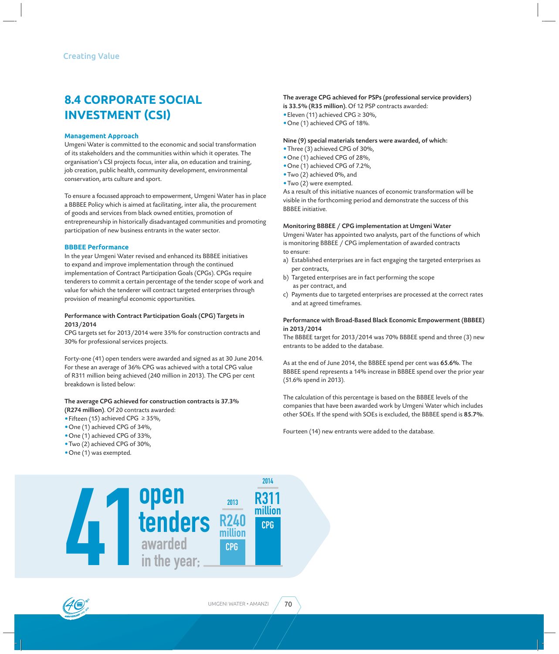# **8.4 CORPORATE SOCIAL INVESTMENT ǓCSIǔ**

#### **Management Approach**

Umgeni Water is committed to the economic and social transformation of its stakeholders and the communities within which it operates. The organisation's CSI projects focus, inter alia, on education and training, job creation, public health, community development, environmental conservation, arts culture and sport.

To ensure a focussed approach to empowerment, Umgeni Water has in place a BBBEE Policy which is aimed at facilitating, inter alia, the procurement of goods and services from black owned entities, promotion of entrepreneurship in historically disadvantaged communities and promoting participation of new business entrants in the water sector.

#### **BBBEE Performance**

In the year Umgeni Water revised and enhanced its BBBEE initiatives to expand and improve implementation through the continued implementation of Contract Participation Goals (CPGs). CPGs require tenderers to commit a certain percentage of the tender scope of work and value for which the tenderer will contract targeted enterprises through provision of meaningful economic opportunities.

#### Performance with Contract Participation Goals (CPG) Targets in 2013/2014

CPG targets set for 2013/2014 were 35% for construction contracts and 30% for professional services projects.

Forty-one (41) open tenders were awarded and signed as at 30 June 2014. For these an average of 36% CPG was achieved with a total CPG value of R311 million being achieved (240 million in 2013). The CPG per cent breakdown is listed below:

## The average CPG achieved for construction contracts is 37.3%

- (R274 million). Of 20 contracts awarded:
- •Fifteen (15) achieved CPG ≥ 35%,
- •One (1) achieved CPG of 34%,
- •One (1) achieved CPG of 33%,
- •Two (2) achieved CPG of 30%,
- •One (1) was exempted.



#### The average CPG achieved for PSPs (professional service providers)

- is 33.5% (R35 million). Of 12 PSP contracts awarded:
- •Eleven (11) achieved CPG ≥ 30%,
- •One (1) achieved CPG of 18%.

#### Nine (9) special materials tenders were awarded, of which:

- •Three (3) achieved CPG of 30%,
- •One (1) achieved CPG of 28%,
- •One (1) achieved CPG of 7.2%,
- •Two (2) achieved 0%, and
- •Two (2) were exempted.

As a result of this initiative nuances of economic transformation will be visible in the forthcoming period and demonstrate the success of this BBBEE initiative.

#### Monitoring BBBEE / CPG implementation at Umgeni Water

Umgeni Water has appointed two analysts, part of the functions of which is monitoring BBBEE / CPG implementation of awarded contracts to ensure:

- a) Established enterprises are in fact engaging the targeted enterprises as per contracts,
- b) Targeted enterprises are in fact performing the scope as per contract, and
- c) Payments due to targeted enterprises are processed at the correct rates and at agreed timeframes.

#### Performance with Broad-Based Black Economic Empowerment (BBBEE) in 2013/2014

The BBBEE target for 2013/2014 was 70% BBBEE spend and three (3) new entrants to be added to the database.

As at the end of June 2014, the BBBEE spend per cent was 65.6%. The BBBEE spend represents a 14% increase in BBBEE spend over the prior year (51.6% spend in 2013).

The calculation of this percentage is based on the BBBEE levels of the companies that have been awarded work by Umgeni Water which includes other SOEs. If the spend with SOEs is excluded, the BBBEE spend is 85.7%.

Fourteen (14) new entrants were added to the database.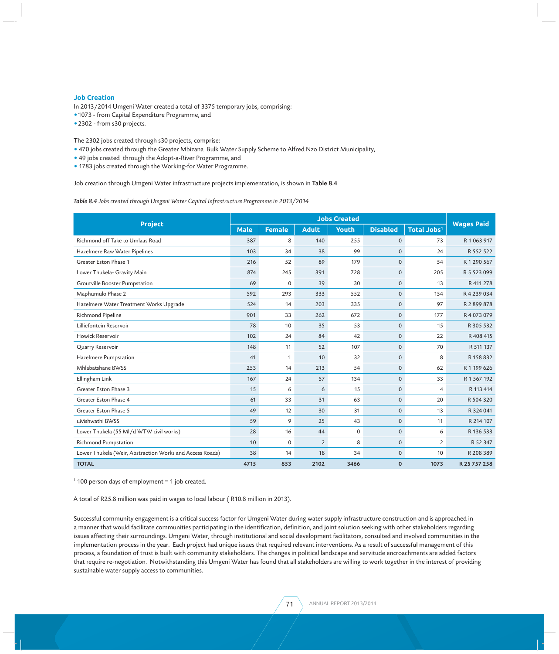#### **Job Creation**

- In 2013/2014 Umgeni Water created a total of 3375 temporary jobs, comprising:
- •1073 from Capital Expenditure Programme, and
- •2302 from s30 projects.

The 2302 jobs created through s30 projects, comprise:

- 470 jobs created through the Greater Mbizana Bulk Water Supply Scheme to Alfred Nzo District Municipality,
- 49 jobs created through the Adopt-a-River Programme, and
- 1783 jobs created through the Working-for Water Programme.

Job creation through Umgeni Water infrastructure projects implementation, is shown in Table 8.4

*Table 8.4 Jobs created through Umgeni Water Capital Infrastructure Programme in 2013/2014*

| <b>Project</b>                                           |      | <b>Jobs Created</b> |                |       |                 |                         |                   |
|----------------------------------------------------------|------|---------------------|----------------|-------|-----------------|-------------------------|-------------------|
|                                                          |      | <b>Female</b>       | <b>Adult</b>   | Youth | <b>Disabled</b> | Total Jobs <sup>1</sup> | <b>Wages Paid</b> |
| Richmond off Take to Umlaas Road                         | 387  | 8                   | 140            | 255   | $\mathbf{0}$    | 73                      | R 1 063 917       |
| Hazelmere Raw Water Pipelines                            | 103  | 34                  | 38             | 99    | $\mathbf 0$     | 24                      | R 552 522         |
| Greater Eston Phase 1                                    | 216  | 52                  | 89             | 179   | $\mathbf{0}$    | 54                      | R 1 290 567       |
| Lower Thukela- Gravity Main                              | 874  | 245                 | 391            | 728   | $\pmb{0}$       | 205                     | R 5 523 099       |
| Groutville Booster Pumpstation                           | 69   | $\mathbf 0$         | 39             | 30    | $\mathbf 0$     | 13                      | R 411 278         |
| Maphumulo Phase 2                                        | 592  | 293                 | 333            | 552   | $\mathbf 0$     | 154                     | R4239034          |
| Hazelmere Water Treatment Works Upgrade                  | 524  | 14                  | 203            | 335   | $\mathbf{0}$    | 97                      | R 2899878         |
| Richmond Pipeline                                        | 901  | 33                  | 262            | 672   | $\mathbf 0$     | 177                     | R 4 073 079       |
| Lilliefontein Reservoir                                  | 78   | 10                  | 35             | 53    | $\mathbf 0$     | 15                      | R 305 532         |
| Howick Reservoir                                         | 102  | 24                  | 84             | 42    | $\mathbf{0}$    | 22                      | R 408 415         |
| Quarry Reservoir                                         | 148  | 11                  | 52             | 107   | $\mathbf 0$     | 70                      | R 511 137         |
| Hazelmere Pumpstation                                    | 41   | $\mathbf{1}$        | 10             | 32    | $\mathbf{0}$    | 8                       | R 158 832         |
| Mhlabatshane BWSS                                        | 253  | 14                  | 213            | 54    | $\pmb{0}$       | 62                      | R 1 199 626       |
| Ellingham Link                                           | 167  | 24                  | 57             | 134   | $\mathbf 0$     | 33                      | R 1 567 192       |
| Greater Eston Phase 3                                    | 15   | 6                   | 6              | 15    | $\mathbf{0}$    | $\overline{4}$          | R 113 414         |
| Greater Eston Phase 4                                    | 61   | 33                  | 31             | 63    | 0               | 20                      | R 504 320         |
| Greater Eston Phase 5                                    | 49   | 12                  | 30             | 31    | $\mathbf{0}$    | 13                      | R 324 041         |
| uMshwathi BWSS                                           | 59   | 9                   | 25             | 43    | $\mathbf{0}$    | 11                      | R 214 107         |
| Lower Thukela (55 Ml/d WTW civil works)                  | 28   | 16                  | 44             | 0     | $\mathbf 0$     | 6                       | R 136 533         |
| Richmond Pumpstation                                     | 10   | $\mathbf 0$         | $\overline{2}$ | 8     | $\mathbf{0}$    | $\overline{2}$          | R 52 347          |
| Lower Thukela (Weir, Abstraction Works and Access Roads) | 38   | 14                  | 18             | 34    | $\mathbf 0$     | 10                      | R 208 389         |
| <b>TOTAL</b>                                             | 4715 | 853                 | 2102           | 3466  | $\mathbf 0$     | 1073                    | R 25 757 258      |

1 100 person days of employment = 1 job created.

A total of R25.8 million was paid in wages to local labour ( R10.8 million in 2013).

Successful community engagement is a critical success factor for Umgeni Water during water supply infrastructure construction and is approached in a manner that would facilitate communities participating in the identification, definition, and joint solution seeking with other stakeholders regarding issues affecting their surroundings. Umgeni Water, through institutional and social development facilitators, consulted and involved communities in the implementation process in the year. Each project had unique issues that required relevant interventions. As a result of successful management of this process, a foundation of trust is built with community stakeholders. The changes in political landscape and servitude encroachments are added factors that require re-negotiation. Notwithstanding this Umgeni Water has found that all stakeholders are willing to work together in the interest of providing sustainable water supply access to communities.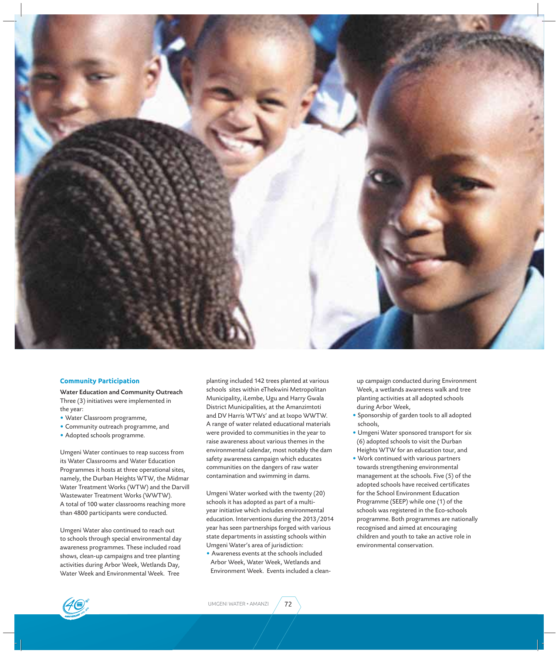

#### **Community Participation**

Water Education and Community Outreach Three (3) initiatives were implemented in the year:

- Water Classroom programme,
- Community outreach programme, and
- Adopted schools programme.

Umgeni Water continues to reap success from its Water Classrooms and Water Education Programmes it hosts at three operational sites, namely, the Durban Heights WTW, the Midmar Water Treatment Works (WTW) and the Darvill Wastewater Treatment Works (WWTW). A total of 100 water classrooms reaching more than 4800 participants were conducted.

Umgeni Water also continued to reach out to schools through special environmental day awareness programmes. These included road shows, clean-up campaigns and tree planting activities during Arbor Week, Wetlands Day, Water Week and Environmental Week. Tree

planting included 142 trees planted at various schools sites within eThekwini Metropolitan Municipality, iLembe, Ugu and Harry Gwala District Municipalities, at the Amanzimtoti and DV Harris WTWs' and at Ixopo WWTW. A range of water related educational materials were provided to communities in the year to raise awareness about various themes in the environmental calendar, most notably the dam safety awareness campaign which educates communities on the dangers of raw water contamination and swimming in dams.

Umgeni Water worked with the twenty (20) schools it has adopted as part of a multiyear initiative which includes environmental education. Interventions during the 2013/2014 year has seen partnerships forged with various state departments in assisting schools within Umgeni Water's area of jurisdiction:

• Awareness events at the schools included Arbor Week, Water Week, Wetlands and Environment Week. Events included a cleanup campaign conducted during Environment Week, a wetlands awareness walk and tree planting activities at all adopted schools during Arbor Week,

- Sponsorship of garden tools to all adopted schools,
- Umgeni Water sponsored transport for six (6) adopted schools to visit the Durban Heights WTW for an education tour, and
- Work continued with various partners towards strengthening environmental management at the schools. Five (5) of the adopted schools have received certificates for the School Environment Education Programme (SEEP) while one (1) of the schools was registered in the Eco-schools programme. Both programmes are nationally recognised and aimed at encouraging children and youth to take an active role in environmental conservation.